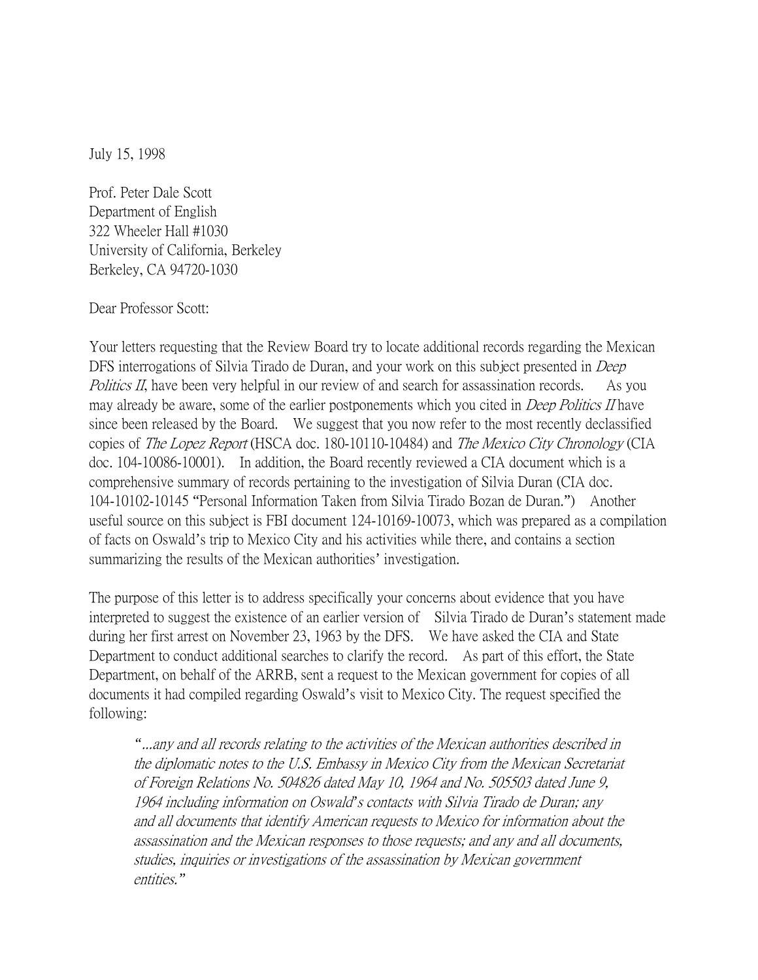July 15, 1998

Prof. Peter Dale Scott Department of English 322 Wheeler Hall #1030 University of California, Berkeley Berkeley, CA 94720-1030

## Dear Professor Scott:

Your letters requesting that the Review Board try to locate additional records regarding the Mexican DFS interrogations of Silvia Tirado de Duran, and your work on this subject presented in *Deep* Politics II, have been very helpful in our review of and search for assassination records. As you may already be aware, some of the earlier postponements which you cited in *Deep Politics II* have since been released by the Board. We suggest that you now refer to the most recently declassified copies of The Lopez Report (HSCA doc. 180-10110-10484) and The Mexico City Chronology (CIA doc. 104-10086-10001). In addition, the Board recently reviewed a CIA document which is a comprehensive summary of records pertaining to the investigation of Silvia Duran (CIA doc. 104-10102-10145 "Personal Information Taken from Silvia Tirado Bozan de Duran.") Another useful source on this subject is FBI document 124-10169-10073, which was prepared as a compilation of facts on Oswald's trip to Mexico City and his activities while there, and contains a section summarizing the results of the Mexican authorities' investigation.

The purpose of this letter is to address specifically your concerns about evidence that you have interpreted to suggest the existence of an earlier version of Silvia Tirado de Duran's statement made during her first arrest on November 23, 1963 by the DFS. We have asked the CIA and State Department to conduct additional searches to clarify the record. As part of this effort, the State Department, on behalf of the ARRB, sent a request to the Mexican government for copies of all documents it had compiled regarding Oswald's visit to Mexico City. The request specified the following:

*"*...any and all records relating to the activities of the Mexican authorities described in the diplomatic notes to the U.S. Embassy in Mexico City from the Mexican Secretariat of Foreign Relations No. 504826 dated May 10, 1964 and No. 505503 dated June 9, 1964 including information on Oswald*'*s contacts with Silvia Tirado de Duran; any and all documents that identify American requests to Mexico for information about the assassination and the Mexican responses to those requests; and any and all documents, studies, inquiries or investigations of the assassination by Mexican government entities.*"*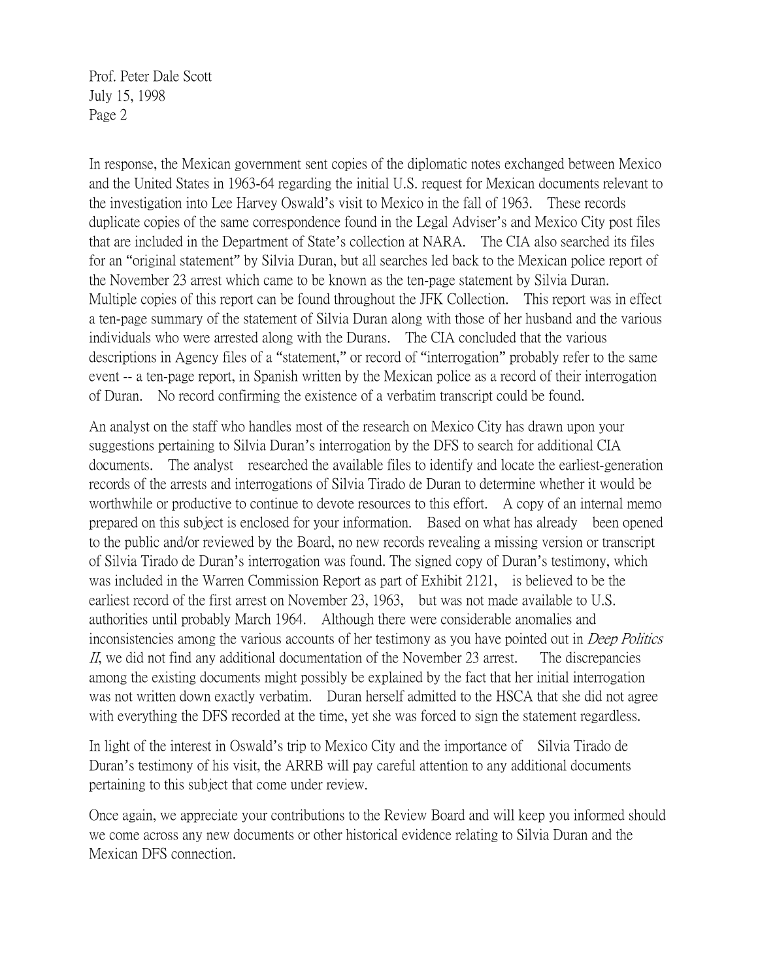Prof. Peter Dale Scott July 15, 1998 Page 2

In response, the Mexican government sent copies of the diplomatic notes exchanged between Mexico and the United States in 1963-64 regarding the initial U.S. request for Mexican documents relevant to the investigation into Lee Harvey Oswald's visit to Mexico in the fall of 1963. These records duplicate copies of the same correspondence found in the Legal Adviser's and Mexico City post files that are included in the Department of State's collection at NARA. The CIA also searched its files for an "original statement" by Silvia Duran, but all searches led back to the Mexican police report of the November 23 arrest which came to be known as the ten-page statement by Silvia Duran. Multiple copies of this report can be found throughout the JFK Collection. This report was in effect a ten-page summary of the statement of Silvia Duran along with those of her husband and the various individuals who were arrested along with the Durans. The CIA concluded that the various descriptions in Agency files of a "statement," or record of "interrogation" probably refer to the same event -- a ten-page report, in Spanish written by the Mexican police as a record of their interrogation of Duran. No record confirming the existence of a verbatim transcript could be found.

An analyst on the staff who handles most of the research on Mexico City has drawn upon your suggestions pertaining to Silvia Duran's interrogation by the DFS to search for additional CIA documents. The analyst researched the available files to identify and locate the earliest-generation records of the arrests and interrogations of Silvia Tirado de Duran to determine whether it would be worthwhile or productive to continue to devote resources to this effort. A copy of an internal memo prepared on this subject is enclosed for your information. Based on what has already been opened to the public and/or reviewed by the Board, no new records revealing a missing version or transcript of Silvia Tirado de Duran's interrogation was found. The signed copy of Duran's testimony, which was included in the Warren Commission Report as part of Exhibit 2121, is believed to be the earliest record of the first arrest on November 23, 1963, but was not made available to U.S. authorities until probably March 1964. Although there were considerable anomalies and inconsistencies among the various accounts of her testimony as you have pointed out in *Deep Politics* II, we did not find any additional documentation of the November 23 arrest. The discrepancies among the existing documents might possibly be explained by the fact that her initial interrogation was not written down exactly verbatim. Duran herself admitted to the HSCA that she did not agree with everything the DFS recorded at the time, yet she was forced to sign the statement regardless.

In light of the interest in Oswald's trip to Mexico City and the importance of Silvia Tirado de Duran's testimony of his visit, the ARRB will pay careful attention to any additional documents pertaining to this subject that come under review.

Once again, we appreciate your contributions to the Review Board and will keep you informed should we come across any new documents or other historical evidence relating to Silvia Duran and the Mexican DFS connection.